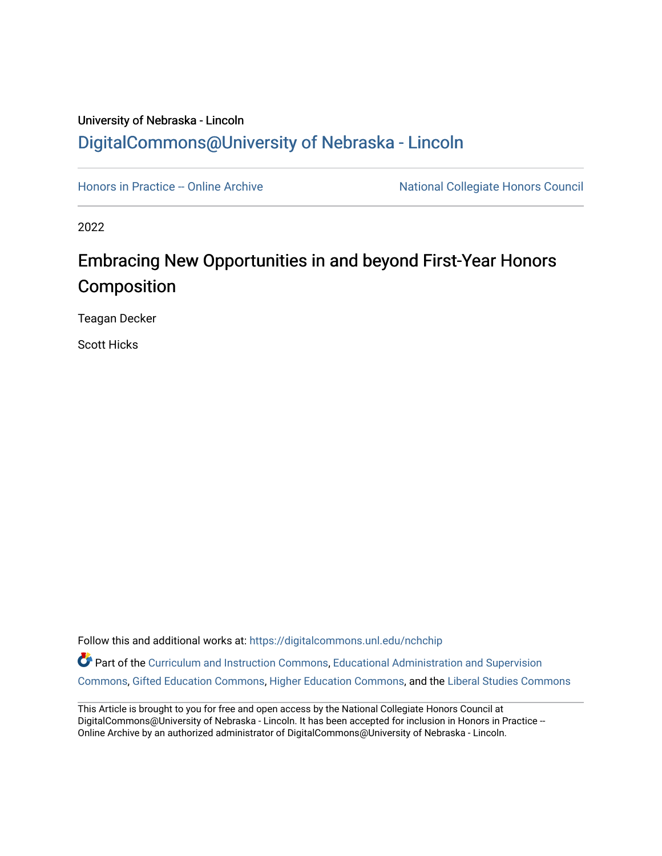# University of Nebraska - Lincoln [DigitalCommons@University of Nebraska - Lincoln](https://digitalcommons.unl.edu/)

[Honors in Practice -- Online Archive](https://digitalcommons.unl.edu/nchchip) National Collegiate Honors Council

2022

# Embracing New Opportunities in and beyond First-Year Honors Composition

Teagan Decker

Scott Hicks

Follow this and additional works at: [https://digitalcommons.unl.edu/nchchip](https://digitalcommons.unl.edu/nchchip?utm_source=digitalcommons.unl.edu%2Fnchchip%2F375&utm_medium=PDF&utm_campaign=PDFCoverPages) 

Part of the [Curriculum and Instruction Commons,](http://network.bepress.com/hgg/discipline/786?utm_source=digitalcommons.unl.edu%2Fnchchip%2F375&utm_medium=PDF&utm_campaign=PDFCoverPages) Educational Administration and Supervision [Commons](http://network.bepress.com/hgg/discipline/787?utm_source=digitalcommons.unl.edu%2Fnchchip%2F375&utm_medium=PDF&utm_campaign=PDFCoverPages), [Gifted Education Commons,](http://network.bepress.com/hgg/discipline/1048?utm_source=digitalcommons.unl.edu%2Fnchchip%2F375&utm_medium=PDF&utm_campaign=PDFCoverPages) [Higher Education Commons](http://network.bepress.com/hgg/discipline/1245?utm_source=digitalcommons.unl.edu%2Fnchchip%2F375&utm_medium=PDF&utm_campaign=PDFCoverPages), and the [Liberal Studies Commons](http://network.bepress.com/hgg/discipline/1042?utm_source=digitalcommons.unl.edu%2Fnchchip%2F375&utm_medium=PDF&utm_campaign=PDFCoverPages)

This Article is brought to you for free and open access by the National Collegiate Honors Council at DigitalCommons@University of Nebraska - Lincoln. It has been accepted for inclusion in Honors in Practice --Online Archive by an authorized administrator of DigitalCommons@University of Nebraska - Lincoln.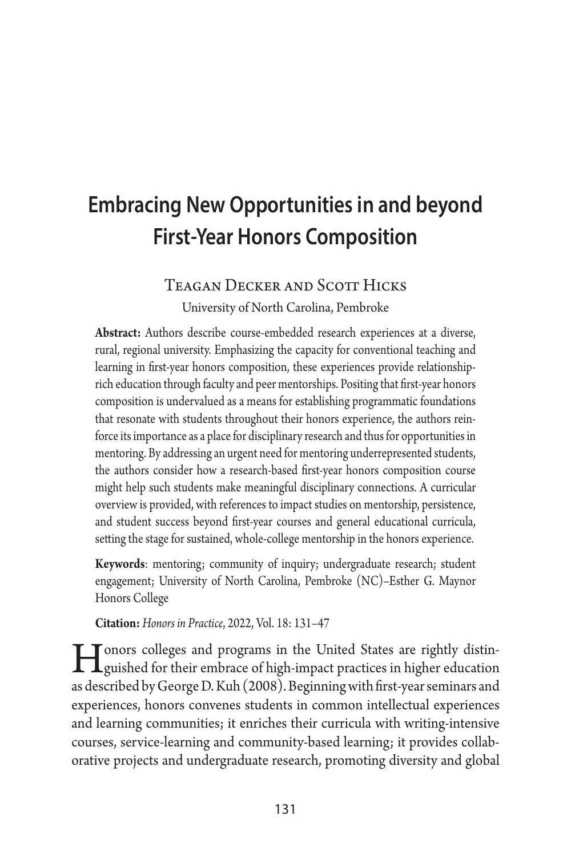# **Embracing New Opportunities in and beyond First-Year Honors Composition**

# Teagan Decker and Scott Hicks

University of North Carolina, Pembroke

**Abstract:** Authors describe course-embedded research experiences at a diverse, rural, regional university. Emphasizing the capacity for conventional teaching and learning in first-year honors composition, these experiences provide relationshiprich education through faculty and peer mentorships. Positing that first-year honors composition is undervalued as a means for establishing programmatic foundations that resonate with students throughout their honors experience, the authors reinforce its importance as a place for disciplinary research and thus for opportunities in mentoring. By addressing an urgent need for mentoring underrepresented students, the authors consider how a research-based first-year honors composition course might help such students make meaningful disciplinary connections. A curricular overview is provided, with references to impact studies on mentorship, persistence, and student success beyond first-year courses and general educational curricula, setting the stage for sustained, whole-college mentorship in the honors experience.

**Keywords**: mentoring; community of inquiry; undergraduate research; student engagement; University of North Carolina, Pembroke (NC)–Esther G. Maynor Honors College

**Citation:** *Honors in Practice*, 2022, Vol. 18: 131–47

**Honors colleges and programs in the United States are rightly distin-**<br>guished for their embrace of high-impact practices in higher education<br>as described by Gassea D. Kub (2009). Beginning with furt we assemings and as described by George D. Kuh (2008). Beginning with first-year seminars and experiences, honors convenes students in common intellectual experiences and learning communities; it enriches their curricula with writing-intensive courses, service-learning and community-based learning; it provides collaborative projects and undergraduate research, promoting diversity and global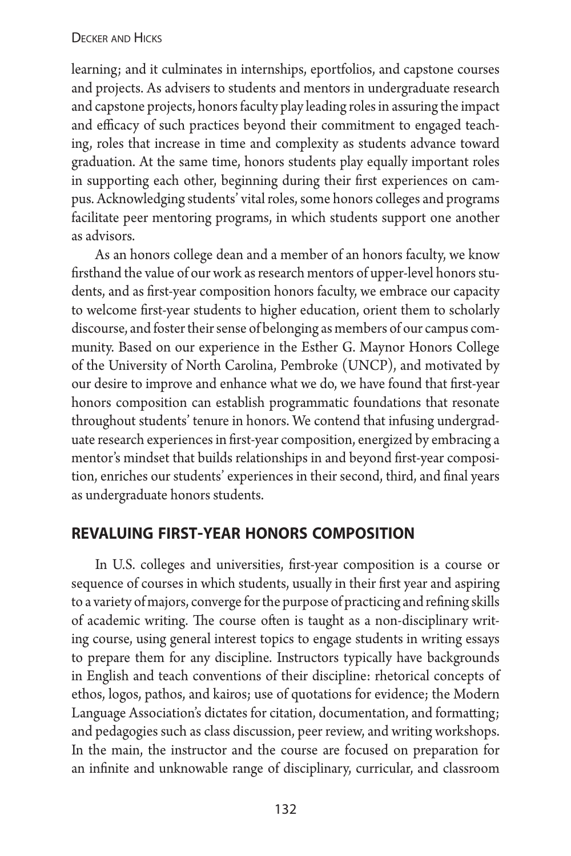learning; and it culminates in internships, eportfolios, and capstone courses and projects. As advisers to students and mentors in undergraduate research and capstone projects, honors faculty play leading roles in assuring the impact and efficacy of such practices beyond their commitment to engaged teaching, roles that increase in time and complexity as students advance toward graduation. At the same time, honors students play equally important roles in supporting each other, beginning during their first experiences on campus. Acknowledging students' vital roles, some honors colleges and programs facilitate peer mentoring programs, in which students support one another as advisors.

As an honors college dean and a member of an honors faculty, we know firsthand the value of our work as research mentors of upper-level honors students, and as first-year composition honors faculty, we embrace our capacity to welcome first-year students to higher education, orient them to scholarly discourse, and foster their sense of belonging as members of our campus community. Based on our experience in the Esther G. Maynor Honors College of the University of North Carolina, Pembroke (UNCP), and motivated by our desire to improve and enhance what we do, we have found that first-year honors composition can establish programmatic foundations that resonate throughout students' tenure in honors. We contend that infusing undergraduate research experiences in first-year composition, energized by embracing a mentor's mindset that builds relationships in and beyond first-year composition, enriches our students' experiences in their second, third, and final years as undergraduate honors students.

# **revaluing first-year honors composition**

In U.S. colleges and universities, first-year composition is a course or sequence of courses in which students, usually in their first year and aspiring to a variety of majors, converge for the purpose of practicing and refining skills of academic writing. The course often is taught as a non-disciplinary writing course, using general interest topics to engage students in writing essays to prepare them for any discipline. Instructors typically have backgrounds in English and teach conventions of their discipline: rhetorical concepts of ethos, logos, pathos, and kairos; use of quotations for evidence; the Modern Language Association's dictates for citation, documentation, and formatting; and pedagogies such as class discussion, peer review, and writing workshops. In the main, the instructor and the course are focused on preparation for an infinite and unknowable range of disciplinary, curricular, and classroom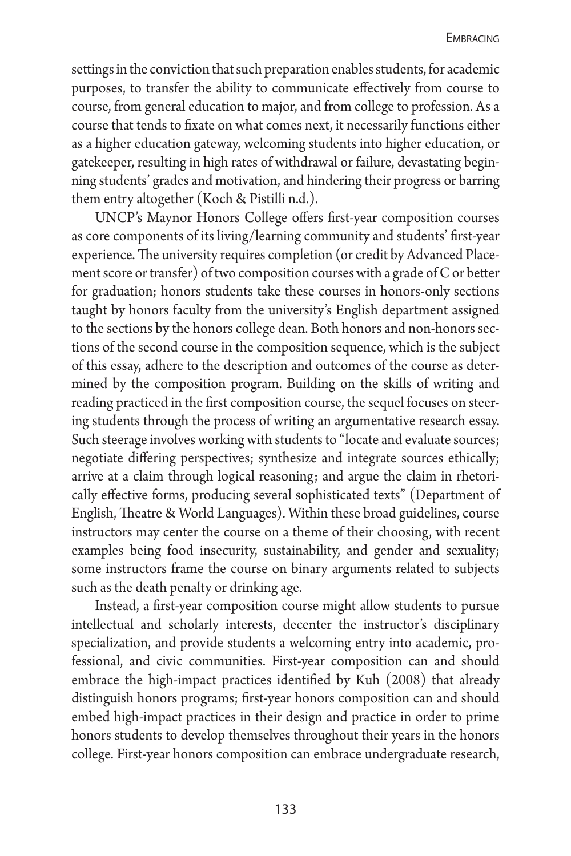settings in the conviction that such preparation enables students, for academic purposes, to transfer the ability to communicate effectively from course to course, from general education to major, and from college to profession. As a course that tends to fixate on what comes next, it necessarily functions either as a higher education gateway, welcoming students into higher education, or gatekeeper, resulting in high rates of withdrawal or failure, devastating beginning students' grades and motivation, and hindering their progress or barring them entry altogether (Koch & Pistilli n.d.).

UNCP's Maynor Honors College offers first-year composition courses as core components of its living/learning community and students' first-year experience. The university requires completion (or credit by Advanced Placement score or transfer) of two composition courses with a grade of C or better for graduation; honors students take these courses in honors-only sections taught by honors faculty from the university's English department assigned to the sections by the honors college dean. Both honors and non-honors sections of the second course in the composition sequence, which is the subject of this essay, adhere to the description and outcomes of the course as determined by the composition program. Building on the skills of writing and reading practiced in the first composition course, the sequel focuses on steering students through the process of writing an argumentative research essay. Such steerage involves working with students to "locate and evaluate sources; negotiate differing perspectives; synthesize and integrate sources ethically; arrive at a claim through logical reasoning; and argue the claim in rhetorically effective forms, producing several sophisticated texts" (Department of English, Theatre & World Languages). Within these broad guidelines, course instructors may center the course on a theme of their choosing, with recent examples being food insecurity, sustainability, and gender and sexuality; some instructors frame the course on binary arguments related to subjects such as the death penalty or drinking age.

Instead, a first-year composition course might allow students to pursue intellectual and scholarly interests, decenter the instructor's disciplinary specialization, and provide students a welcoming entry into academic, professional, and civic communities. First-year composition can and should embrace the high-impact practices identified by Kuh (2008) that already distinguish honors programs; first-year honors composition can and should embed high-impact practices in their design and practice in order to prime honors students to develop themselves throughout their years in the honors college. First-year honors composition can embrace undergraduate research,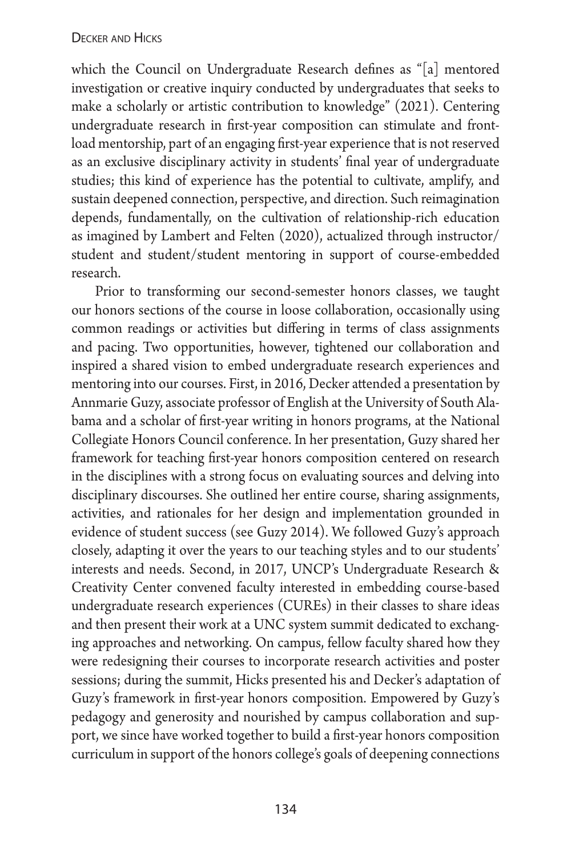which the Council on Undergraduate Research defines as "[a] mentored investigation or creative inquiry conducted by undergraduates that seeks to make a scholarly or artistic contribution to knowledge" (2021). Centering undergraduate research in first-year composition can stimulate and frontload mentorship, part of an engaging first-year experience that is not reserved as an exclusive disciplinary activity in students' final year of undergraduate studies; this kind of experience has the potential to cultivate, amplify, and sustain deepened connection, perspective, and direction. Such reimagination depends, fundamentally, on the cultivation of relationship-rich education as imagined by Lambert and Felten (2020), actualized through instructor/ student and student/student mentoring in support of course-embedded research.

Prior to transforming our second-semester honors classes, we taught our honors sections of the course in loose collaboration, occasionally using common readings or activities but differing in terms of class assignments and pacing. Two opportunities, however, tightened our collaboration and inspired a shared vision to embed undergraduate research experiences and mentoring into our courses. First, in 2016, Decker attended a presentation by Annmarie Guzy, associate professor of English at the University of South Alabama and a scholar of first-year writing in honors programs, at the National Collegiate Honors Council conference. In her presentation, Guzy shared her framework for teaching first-year honors composition centered on research in the disciplines with a strong focus on evaluating sources and delving into disciplinary discourses. She outlined her entire course, sharing assignments, activities, and rationales for her design and implementation grounded in evidence of student success (see Guzy 2014). We followed Guzy's approach closely, adapting it over the years to our teaching styles and to our students' interests and needs. Second, in 2017, UNCP's Undergraduate Research & Creativity Center convened faculty interested in embedding course-based undergraduate research experiences (CUREs) in their classes to share ideas and then present their work at a UNC system summit dedicated to exchanging approaches and networking. On campus, fellow faculty shared how they were redesigning their courses to incorporate research activities and poster sessions; during the summit, Hicks presented his and Decker's adaptation of Guzy's framework in first-year honors composition. Empowered by Guzy's pedagogy and generosity and nourished by campus collaboration and support, we since have worked together to build a first-year honors composition curriculum in support of the honors college's goals of deepening connections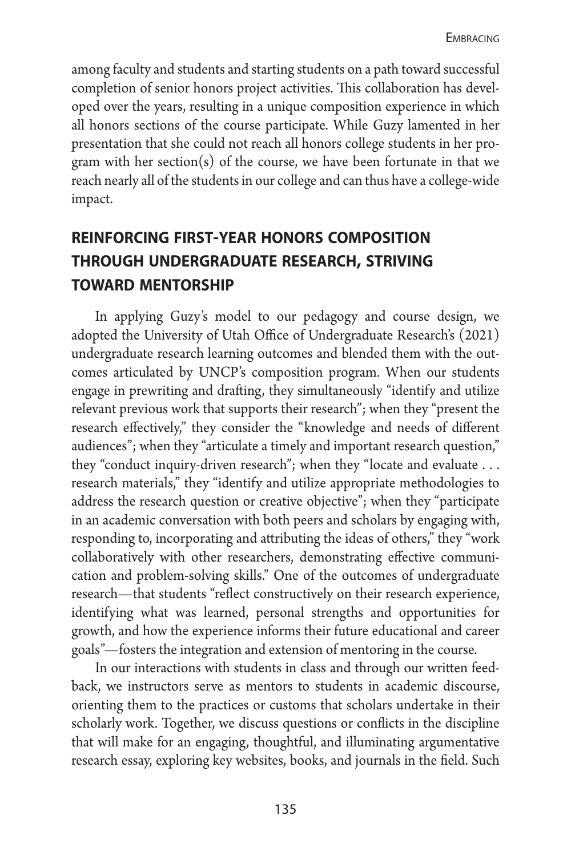among faculty and students and starting students on a path toward successful completion of senior honors project activities. This collaboration has developed over the years, resulting in a unique composition experience in which all honors sections of the course participate. While Guzy lamented in her presentation that she could not reach all honors college students in her program with her section(s) of the course, we have been fortunate in that we reach nearly all of the students in our college and can thus have a college-wide impact.

# **reinforcing first-year honors composition through undergraduate research, striving toward mentorship**

In applying Guzy's model to our pedagogy and course design, we adopted the University of Utah Office of Undergraduate Research's (2021) undergraduate research learning outcomes and blended them with the outcomes articulated by UNCP's composition program. When our students engage in prewriting and drafting, they simultaneously "identify and utilize relevant previous work that supports their research"; when they "present the research effectively," they consider the "knowledge and needs of different audiences"; when they "articulate a timely and important research question," they "conduct inquiry-driven research"; when they "locate and evaluate ... research materials," they "identify and utilize appropriate methodologies to address the research question or creative objective"; when they "participate in an academic conversation with both peers and scholars by engaging with, responding to, incorporating and attributing the ideas of others," they "work collaboratively with other researchers, demonstrating effective communication and problem-solving skills." One of the outcomes of undergraduate research—that students "reflect constructively on their research experience, identifying what was learned, personal strengths and opportunities for growth, and how the experience informs their future educational and career goals"—fosters the integration and extension of mentoring in the course.

In our interactions with students in class and through our written feedback, we instructors serve as mentors to students in academic discourse, orienting them to the practices or customs that scholars undertake in their scholarly work. Together, we discuss questions or conflicts in the discipline that will make for an engaging, thoughtful, and illuminating argumentative research essay, exploring key websites, books, and journals in the field. Such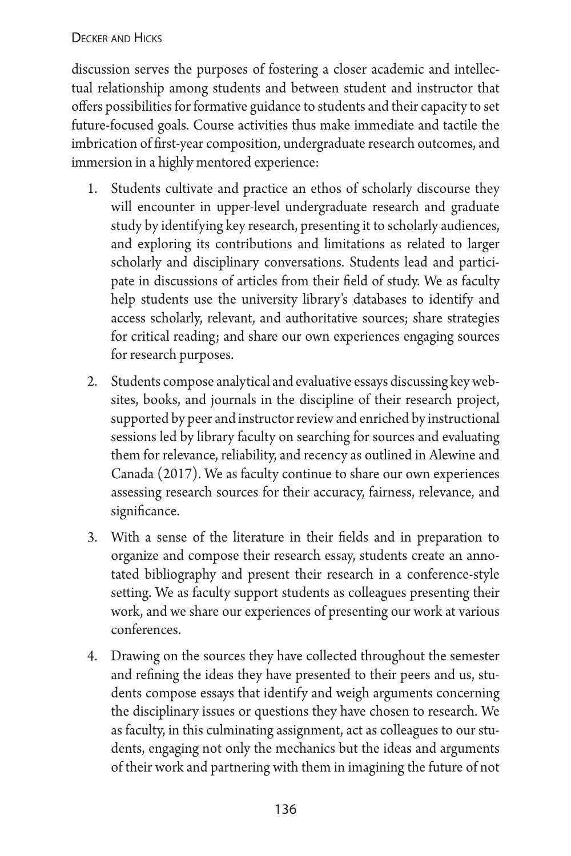discussion serves the purposes of fostering a closer academic and intellectual relationship among students and between student and instructor that offers possibilities for formative guidance to students and their capacity to set future-focused goals. Course activities thus make immediate and tactile the imbrication of first-year composition, undergraduate research outcomes, and immersion in a highly mentored experience:

- 1. Students cultivate and practice an ethos of scholarly discourse they will encounter in upper-level undergraduate research and graduate study by identifying key research, presenting it to scholarly audiences, and exploring its contributions and limitations as related to larger scholarly and disciplinary conversations. Students lead and participate in discussions of articles from their field of study. We as faculty help students use the university library's databases to identify and access scholarly, relevant, and authoritative sources; share strategies for critical reading; and share our own experiences engaging sources for research purposes.
- 2. Students compose analytical and evaluative essays discussing key websites, books, and journals in the discipline of their research project, supported by peer and instructor review and enriched by instructional sessions led by library faculty on searching for sources and evaluating them for relevance, reliability, and recency as outlined in Alewine and Canada (2017). We as faculty continue to share our own experiences assessing research sources for their accuracy, fairness, relevance, and significance.
- 3. With a sense of the literature in their fields and in preparation to organize and compose their research essay, students create an annotated bibliography and present their research in a conference-style setting. We as faculty support students as colleagues presenting their work, and we share our experiences of presenting our work at various conferences.
- 4. Drawing on the sources they have collected throughout the semester and refining the ideas they have presented to their peers and us, students compose essays that identify and weigh arguments concerning the disciplinary issues or questions they have chosen to research. We as faculty, in this culminating assignment, act as colleagues to our students, engaging not only the mechanics but the ideas and arguments of their work and partnering with them in imagining the future of not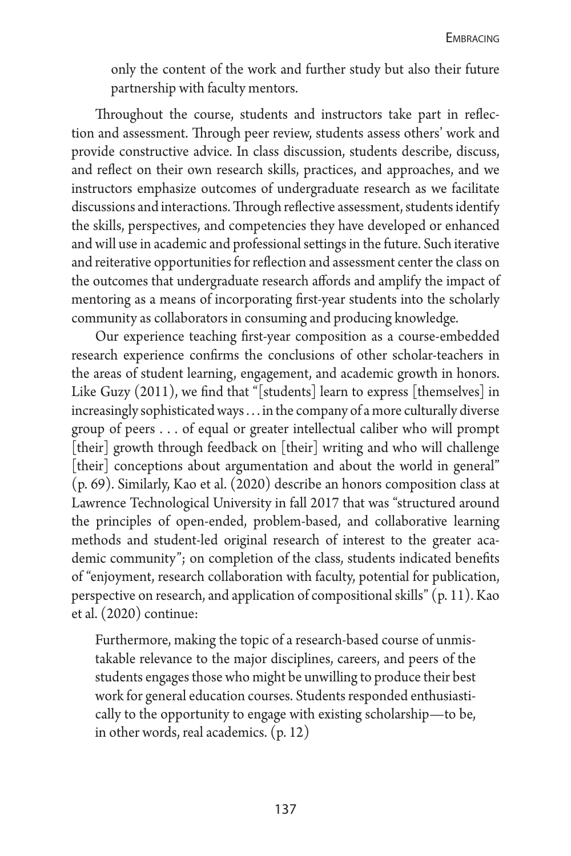only the content of the work and further study but also their future partnership with faculty mentors.

Throughout the course, students and instructors take part in reflection and assessment. Through peer review, students assess others' work and provide constructive advice. In class discussion, students describe, discuss, and reflect on their own research skills, practices, and approaches, and we instructors emphasize outcomes of undergraduate research as we facilitate discussions and interactions. Through reflective assessment, students identify the skills, perspectives, and competencies they have developed or enhanced and will use in academic and professional settings in the future. Such iterative and reiterative opportunities for reflection and assessment center the class on the outcomes that undergraduate research affords and amplify the impact of mentoring as a means of incorporating first-year students into the scholarly community as collaborators in consuming and producing knowledge.

Our experience teaching first-year composition as a course-embedded research experience confirms the conclusions of other scholar-teachers in the areas of student learning, engagement, and academic growth in honors. Like Guzy (2011), we find that "[students] learn to express [themselves] in increasingly sophisticated ways ... in the company of a more culturally diverse group of peers ... of equal or greater intellectual caliber who will prompt [their] growth through feedback on [their] writing and who will challenge [their] conceptions about argumentation and about the world in general" (p. 69). Similarly, Kao et al. (2020) describe an honors composition class at Lawrence Technological University in fall 2017 that was "structured around the principles of open-ended, problem-based, and collaborative learning methods and student-led original research of interest to the greater academic community"; on completion of the class, students indicated benefits of "enjoyment, research collaboration with faculty, potential for publication, perspective on research, and application of compositional skills" (p. 11). Kao et al. (2020) continue:

Furthermore, making the topic of a research-based course of unmistakable relevance to the major disciplines, careers, and peers of the students engages those who might be unwilling to produce their best work for general education courses. Students responded enthusiastically to the opportunity to engage with existing scholarship—to be, in other words, real academics. (p. 12)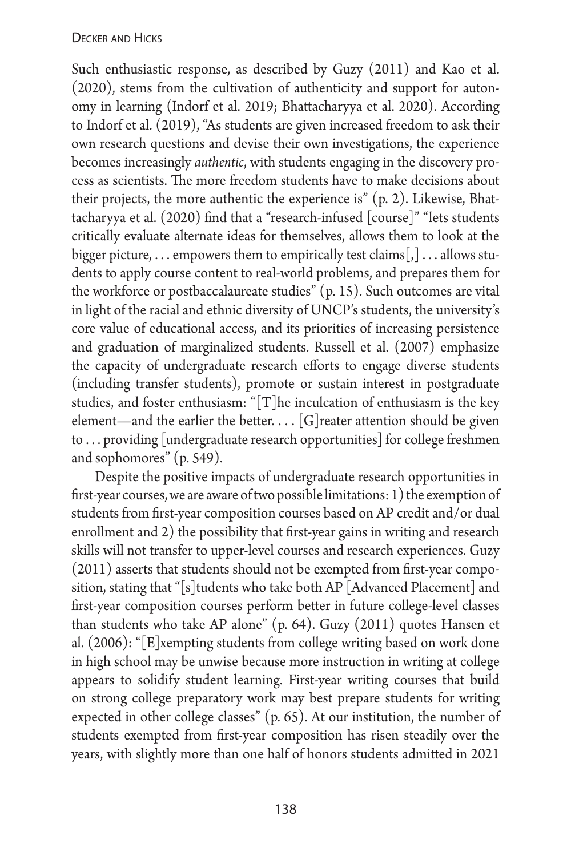Such enthusiastic response, as described by Guzy (2011) and Kao et al. (2020), stems from the cultivation of authenticity and support for autonomy in learning (Indorf et al. 2019; Bhattacharyya et al. 2020). According to Indorf et al. (2019), "As students are given increased freedom to ask their own research questions and devise their own investigations, the experience becomes increasingly *authentic*, with students engaging in the discovery process as scientists. The more freedom students have to make decisions about their projects, the more authentic the experience is" (p. 2). Likewise, Bhattacharyya et al. (2020) find that a "research-infused [course]" "lets students critically evaluate alternate ideas for themselves, allows them to look at the bigger picture, ... empowers them to empirically test claims $[,] \dots$  allows students to apply course content to real-world problems, and prepares them for the workforce or postbaccalaureate studies" (p. 15). Such outcomes are vital in light of the racial and ethnic diversity of UNCP's students, the university's core value of educational access, and its priorities of increasing persistence and graduation of marginalized students. Russell et al. (2007) emphasize the capacity of undergraduate research efforts to engage diverse students (including transfer students), promote or sustain interest in postgraduate studies, and foster enthusiasm: "[T]he inculcation of enthusiasm is the key element—and the earlier the better.... [G] reater attention should be given to ... providing [undergraduate research opportunities] for college freshmen and sophomores" (p. 549).

Despite the positive impacts of undergraduate research opportunities in first-year courses, we are aware of two possible limitations: 1) the exemption of students from first-year composition courses based on AP credit and/or dual enrollment and 2) the possibility that first-year gains in writing and research skills will not transfer to upper-level courses and research experiences. Guzy (2011) asserts that students should not be exempted from first-year composition, stating that "[s]tudents who take both AP [Advanced Placement] and first-year composition courses perform better in future college-level classes than students who take AP alone" (p. 64). Guzy (2011) quotes Hansen et al. (2006): "[E]xempting students from college writing based on work done in high school may be unwise because more instruction in writing at college appears to solidify student learning. First-year writing courses that build on strong college preparatory work may best prepare students for writing expected in other college classes" (p. 65). At our institution, the number of students exempted from first-year composition has risen steadily over the years, with slightly more than one half of honors students admitted in 2021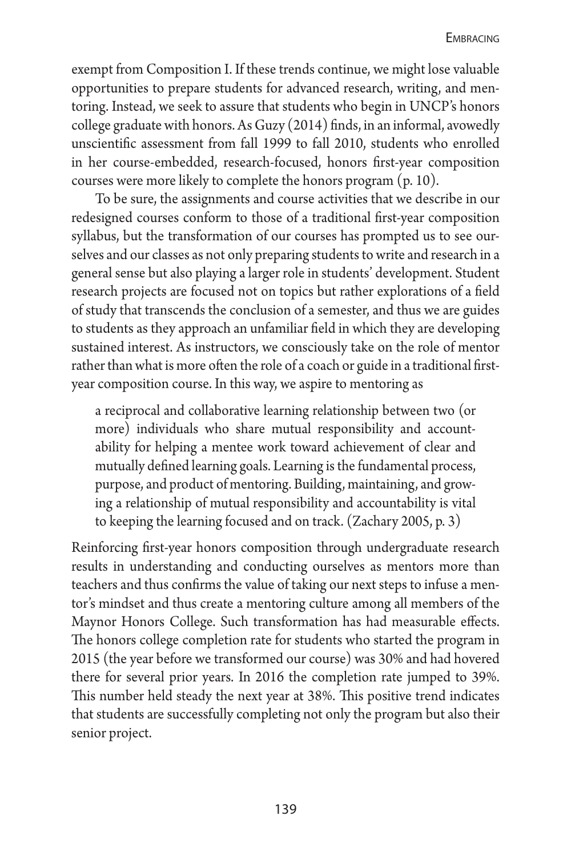exempt from Composition I. If these trends continue, we might lose valuable opportunities to prepare students for advanced research, writing, and mentoring. Instead, we seek to assure that students who begin in UNCP's honors college graduate with honors. As Guzy (2014) finds, in an informal, avowedly unscientific assessment from fall 1999 to fall 2010, students who enrolled in her course-embedded, research-focused, honors first-year composition courses were more likely to complete the honors program (p. 10).

To be sure, the assignments and course activities that we describe in our redesigned courses conform to those of a traditional first-year composition syllabus, but the transformation of our courses has prompted us to see ourselves and our classes as not only preparing students to write and research in a general sense but also playing a larger role in students' development. Student research projects are focused not on topics but rather explorations of a field of study that transcends the conclusion of a semester, and thus we are guides to students as they approach an unfamiliar field in which they are developing sustained interest. As instructors, we consciously take on the role of mentor rather than what is more often the role of a coach or guide in a traditional firstyear composition course. In this way, we aspire to mentoring as

a reciprocal and collaborative learning relationship between two (or more) individuals who share mutual responsibility and accountability for helping a mentee work toward achievement of clear and mutually defined learning goals. Learning is the fundamental process, purpose, and product of mentoring. Building, maintaining, and growing a relationship of mutual responsibility and accountability is vital to keeping the learning focused and on track. (Zachary 2005, p. 3)

Reinforcing first-year honors composition through undergraduate research results in understanding and conducting ourselves as mentors more than teachers and thus confirms the value of taking our next steps to infuse a mentor's mindset and thus create a mentoring culture among all members of the Maynor Honors College. Such transformation has had measurable effects. The honors college completion rate for students who started the program in 2015 (the year before we transformed our course) was 30% and had hovered there for several prior years. In 2016 the completion rate jumped to 39%. This number held steady the next year at 38%. This positive trend indicates that students are successfully completing not only the program but also their senior project.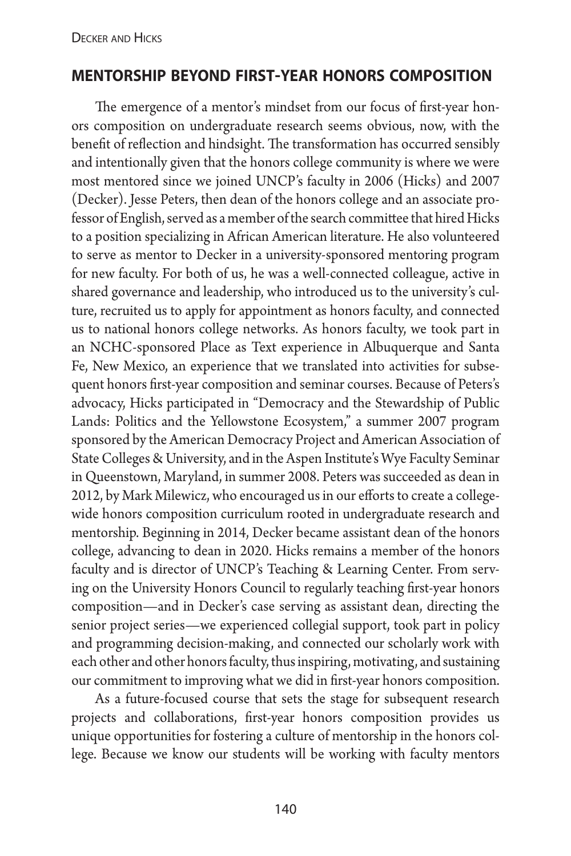## **mentorship beyond first-year honors composition**

The emergence of a mentor's mindset from our focus of first-year honors composition on undergraduate research seems obvious, now, with the benefit of reflection and hindsight. The transformation has occurred sensibly and intentionally given that the honors college community is where we were most mentored since we joined UNCP's faculty in 2006 (Hicks) and 2007 (Decker). Jesse Peters, then dean of the honors college and an associate professor of English, served as a member of the search committee that hired Hicks to a position specializing in African American literature. He also volunteered to serve as mentor to Decker in a university-sponsored mentoring program for new faculty. For both of us, he was a well-connected colleague, active in shared governance and leadership, who introduced us to the university's culture, recruited us to apply for appointment as honors faculty, and connected us to national honors college networks. As honors faculty, we took part in an NCHC-sponsored Place as Text experience in Albuquerque and Santa Fe, New Mexico, an experience that we translated into activities for subsequent honors first-year composition and seminar courses. Because of Peters's advocacy, Hicks participated in "Democracy and the Stewardship of Public Lands: Politics and the Yellowstone Ecosystem," a summer 2007 program sponsored by the American Democracy Project and American Association of State Colleges & University, and in the Aspen Institute's Wye Faculty Seminar in Queenstown, Maryland, in summer 2008. Peters was succeeded as dean in 2012, by Mark Milewicz, who encouraged us in our efforts to create a collegewide honors composition curriculum rooted in undergraduate research and mentorship. Beginning in 2014, Decker became assistant dean of the honors college, advancing to dean in 2020. Hicks remains a member of the honors faculty and is director of UNCP's Teaching & Learning Center. From serving on the University Honors Council to regularly teaching first-year honors composition—and in Decker's case serving as assistant dean, directing the senior project series—we experienced collegial support, took part in policy and programming decision-making, and connected our scholarly work with each other and other honors faculty, thus inspiring, motivating, and sustaining our commitment to improving what we did in first-year honors composition.

As a future-focused course that sets the stage for subsequent research projects and collaborations, first-year honors composition provides us unique opportunities for fostering a culture of mentorship in the honors college. Because we know our students will be working with faculty mentors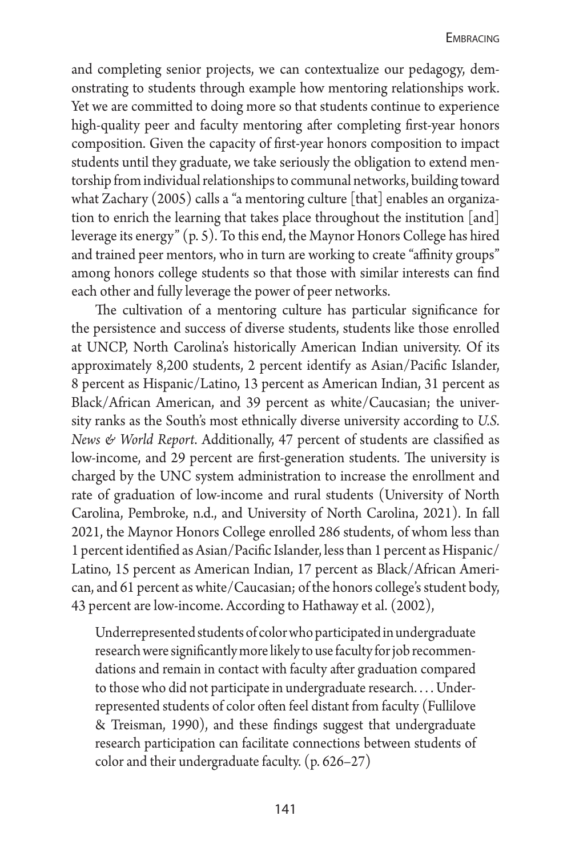and completing senior projects, we can contextualize our pedagogy, demonstrating to students through example how mentoring relationships work. Yet we are committed to doing more so that students continue to experience high-quality peer and faculty mentoring after completing first-year honors composition. Given the capacity of first-year honors composition to impact students until they graduate, we take seriously the obligation to extend mentorship from individual relationships to communal networks, building toward what Zachary (2005) calls a "a mentoring culture [that] enables an organization to enrich the learning that takes place throughout the institution [and] leverage its energy" (p. 5). To this end, the Maynor Honors College has hired and trained peer mentors, who in turn are working to create "affinity groups" among honors college students so that those with similar interests can find each other and fully leverage the power of peer networks.

The cultivation of a mentoring culture has particular significance for the persistence and success of diverse students, students like those enrolled at UNCP, North Carolina's historically American Indian university. Of its approximately 8,200 students, 2 percent identify as Asian/Pacific Islander, 8 percent as Hispanic/Latino, 13 percent as American Indian, 31 percent as Black/African American, and 39 percent as white/Caucasian; the university ranks as the South's most ethnically diverse university according to *U.S. News & World Report*. Additionally, 47 percent of students are classified as low-income, and 29 percent are first-generation students. The university is charged by the UNC system administration to increase the enrollment and rate of graduation of low-income and rural students (University of North Carolina, Pembroke, n.d., and University of North Carolina, 2021). In fall 2021, the Maynor Honors College enrolled 286 students, of whom less than 1 percent identified as Asian/Pacific Islander, less than 1 percent as Hispanic/ Latino, 15 percent as American Indian, 17 percent as Black/African American, and 61 percent as white/Caucasian; of the honors college's student body, 43 percent are low-income. According to Hathaway et al. (2002),

Underrepresented students of color who participated in undergraduate research were significantly more likely to use faculty for job recommendations and remain in contact with faculty after graduation compared to those who did not participate in undergraduate research.... Underrepresented students of color often feel distant from faculty (Fullilove & Treisman, 1990), and these findings suggest that undergraduate research participation can facilitate connections between students of color and their undergraduate faculty. (p. 626–27)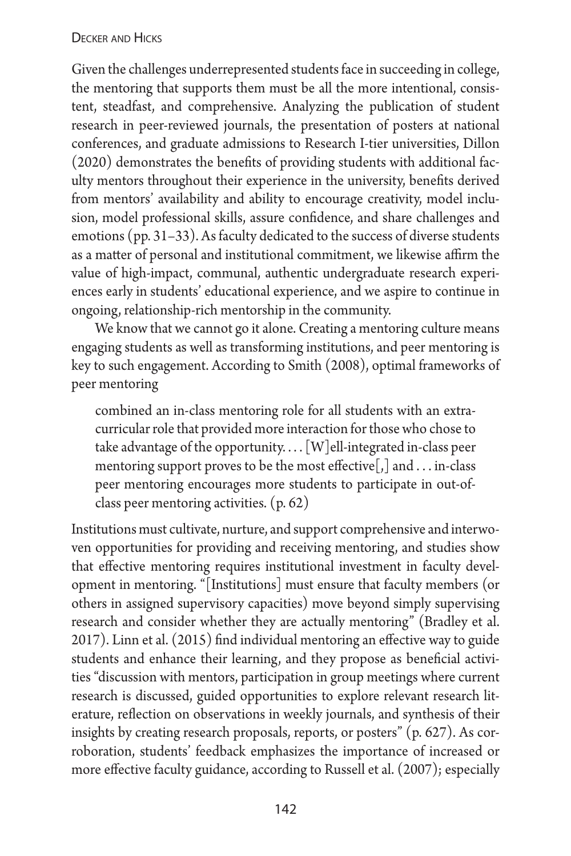Given the challenges underrepresented students face in succeeding in college, the mentoring that supports them must be all the more intentional, consistent, steadfast, and comprehensive. Analyzing the publication of student research in peer-reviewed journals, the presentation of posters at national conferences, and graduate admissions to Research I-tier universities, Dillon (2020) demonstrates the benefits of providing students with additional faculty mentors throughout their experience in the university, benefits derived from mentors' availability and ability to encourage creativity, model inclusion, model professional skills, assure confidence, and share challenges and emotions (pp. 31–33). As faculty dedicated to the success of diverse students as a matter of personal and institutional commitment, we likewise affirm the value of high-impact, communal, authentic undergraduate research experiences early in students' educational experience, and we aspire to continue in ongoing, relationship-rich mentorship in the community.

We know that we cannot go it alone. Creating a mentoring culture means engaging students as well as transforming institutions, and peer mentoring is key to such engagement. According to Smith (2008), optimal frameworks of peer mentoring

combined an in-class mentoring role for all students with an extracurricular role that provided more interaction for those who chose to take advantage of the opportunity.... [W]ell-integrated in-class peer mentoring support proves to be the most effective[,] and ... in-class peer mentoring encourages more students to participate in out-ofclass peer mentoring activities. (p. 62)

Institutions must cultivate, nurture, and support comprehensive and interwoven opportunities for providing and receiving mentoring, and studies show that effective mentoring requires institutional investment in faculty development in mentoring. "[Institutions] must ensure that faculty members (or others in assigned supervisory capacities) move beyond simply supervising research and consider whether they are actually mentoring" (Bradley et al. 2017). Linn et al. (2015) find individual mentoring an effective way to guide students and enhance their learning, and they propose as beneficial activities "discussion with mentors, participation in group meetings where current research is discussed, guided opportunities to explore relevant research literature, reflection on observations in weekly journals, and synthesis of their insights by creating research proposals, reports, or posters" (p. 627). As corroboration, students' feedback emphasizes the importance of increased or more effective faculty guidance, according to Russell et al. (2007); especially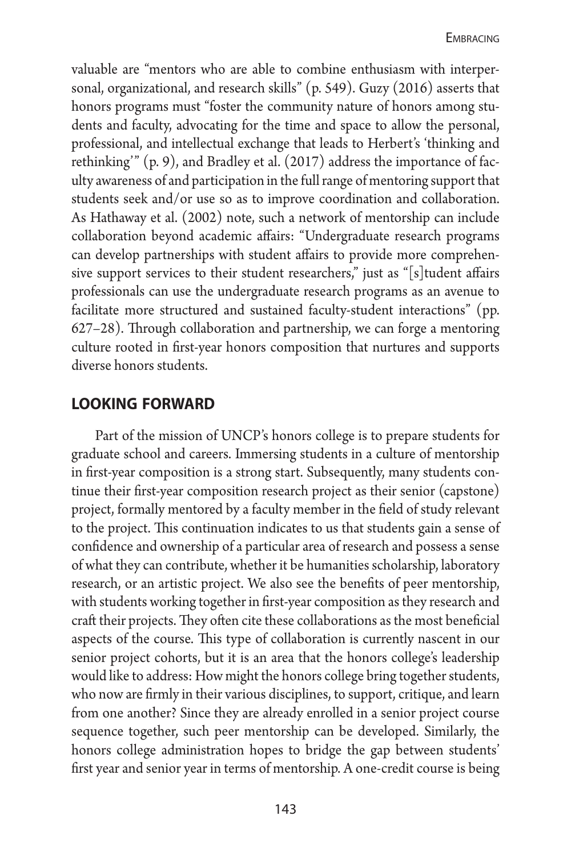valuable are "mentors who are able to combine enthusiasm with interpersonal, organizational, and research skills" (p. 549). Guzy (2016) asserts that honors programs must "foster the community nature of honors among students and faculty, advocating for the time and space to allow the personal, professional, and intellectual exchange that leads to Herbert's 'thinking and rethinking'" (p. 9), and Bradley et al. (2017) address the importance of faculty awareness of and participation in the full range of mentoring support that students seek and/or use so as to improve coordination and collaboration. As Hathaway et al. (2002) note, such a network of mentorship can include collaboration beyond academic affairs: "Undergraduate research programs can develop partnerships with student affairs to provide more comprehensive support services to their student researchers," just as "[s]tudent affairs professionals can use the undergraduate research programs as an avenue to facilitate more structured and sustained faculty-student interactions" (pp. 627–28). Through collaboration and partnership, we can forge a mentoring culture rooted in first-year honors composition that nurtures and supports diverse honors students.

### **looking forward**

Part of the mission of UNCP's honors college is to prepare students for graduate school and careers. Immersing students in a culture of mentorship in first-year composition is a strong start. Subsequently, many students continue their first-year composition research project as their senior (capstone) project, formally mentored by a faculty member in the field of study relevant to the project. This continuation indicates to us that students gain a sense of confidence and ownership of a particular area of research and possess a sense of what they can contribute, whether it be humanities scholarship, laboratory research, or an artistic project. We also see the benefits of peer mentorship, with students working together in first-year composition as they research and craft their projects. They often cite these collaborations as the most beneficial aspects of the course. This type of collaboration is currently nascent in our senior project cohorts, but it is an area that the honors college's leadership would like to address: How might the honors college bring together students, who now are firmly in their various disciplines, to support, critique, and learn from one another? Since they are already enrolled in a senior project course sequence together, such peer mentorship can be developed. Similarly, the honors college administration hopes to bridge the gap between students' first year and senior year in terms of mentorship. A one-credit course is being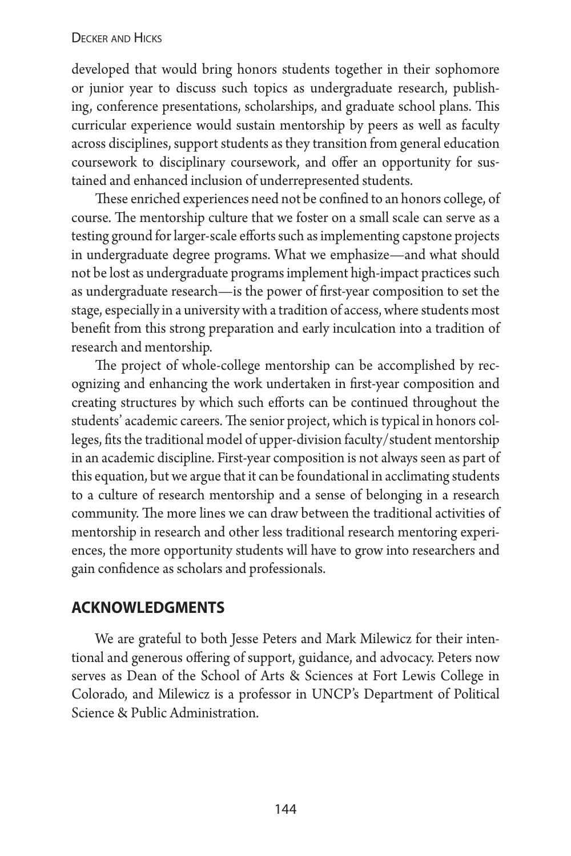developed that would bring honors students together in their sophomore or junior year to discuss such topics as undergraduate research, publishing, conference presentations, scholarships, and graduate school plans. This curricular experience would sustain mentorship by peers as well as faculty across disciplines, support students as they transition from general education coursework to disciplinary coursework, and offer an opportunity for sustained and enhanced inclusion of underrepresented students.

These enriched experiences need not be confined to an honors college, of course. The mentorship culture that we foster on a small scale can serve as a testing ground for larger-scale efforts such as implementing capstone projects in undergraduate degree programs. What we emphasize—and what should not be lost as undergraduate programs implement high-impact practices such as undergraduate research—is the power of first-year composition to set the stage, especially in a university with a tradition of access, where students most benefit from this strong preparation and early inculcation into a tradition of research and mentorship.

The project of whole-college mentorship can be accomplished by recognizing and enhancing the work undertaken in first-year composition and creating structures by which such efforts can be continued throughout the students' academic careers. The senior project, which is typical in honors colleges, fits the traditional model of upper-division faculty/student mentorship in an academic discipline. First-year composition is not always seen as part of this equation, but we argue that it can be foundational in acclimating students to a culture of research mentorship and a sense of belonging in a research community. The more lines we can draw between the traditional activities of mentorship in research and other less traditional research mentoring experiences, the more opportunity students will have to grow into researchers and gain confidence as scholars and professionals.

## **acknowledgments**

We are grateful to both Jesse Peters and Mark Milewicz for their intentional and generous offering of support, guidance, and advocacy. Peters now serves as Dean of the School of Arts & Sciences at Fort Lewis College in Colorado, and Milewicz is a professor in UNCP's Department of Political Science & Public Administration.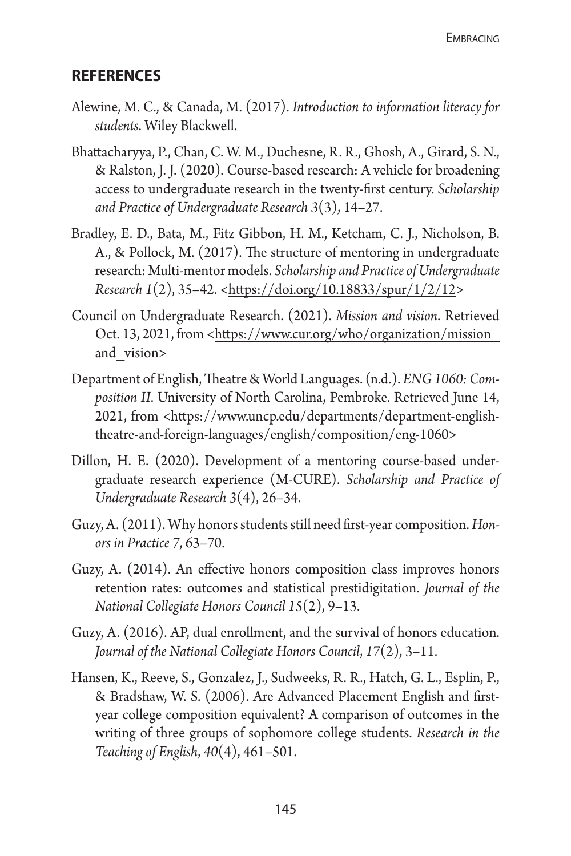### **references**

- Alewine, M. C., & Canada, M. (2017). *Introduction to information literacy for students*. Wiley Blackwell.
- Bhattacharyya, P., Chan, C. W. M., Duchesne, R. R., Ghosh, A., Girard, S. N., & Ralston, J. J. (2020). Course-based research: A vehicle for broadening access to undergraduate research in the twenty-first century. *Scholarship and Practice of Undergraduate Research 3*(3), 14–27.
- Bradley, E. D., Bata, M., Fitz Gibbon, H. M., Ketcham, C. J., Nicholson, B. A., & Pollock, M. (2017). The structure of mentoring in undergraduate research: Multi-mentor models. *Scholarship and Practice of Undergraduate Research 1*(2), 35–42. <[https://doi.org/10.18833/spur/1/2/12>](https://doi.org/10.18833/spur/1/2/12)
- Council on Undergraduate Research. (2021). *Mission and vision*. Retrieved Oct. 13, 2021, from <https://www.cur.org/who/organization/mission [and\\_vision](https://www.cur.org/who/organization/mission_and_vision)>
- Department of English, Theatre & World Languages. (n.d.). *ENG 1060: Composition II*. University of North Carolina, Pembroke. Retrieved June 14, 2021, from [<https://www.uncp.edu/departments/department-english](https://www.uncp.edu/departments/department-english-theatre-and-foreign-languages/english/composition/eng-1060)[theatre-and-foreign-languages/english/composition/eng-1060](https://www.uncp.edu/departments/department-english-theatre-and-foreign-languages/english/composition/eng-1060)>
- Dillon, H. E. (2020). Development of a mentoring course-based undergraduate research experience (M-CURE). *Scholarship and Practice of Undergraduate Research 3*(4), 26–34.
- Guzy, A. (2011). Why honors students still need first-year composition. *Honors in Practice 7*, 63–70.
- Guzy, A. (2014). An effective honors composition class improves honors retention rates: outcomes and statistical prestidigitation. *Journal of the National Collegiate Honors Council 15*(2), 9–13.
- Guzy, A. (2016). AP, dual enrollment, and the survival of honors education. *Journal of the National Collegiate Honors Council*, *17*(2), 3–11.
- Hansen, K., Reeve, S., Gonzalez, J., Sudweeks, R. R., Hatch, G. L., Esplin, P., & Bradshaw, W. S. (2006). Are Advanced Placement English and firstyear college composition equivalent? A comparison of outcomes in the writing of three groups of sophomore college students. *Research in the Teaching of English*, *40*(4), 461–501.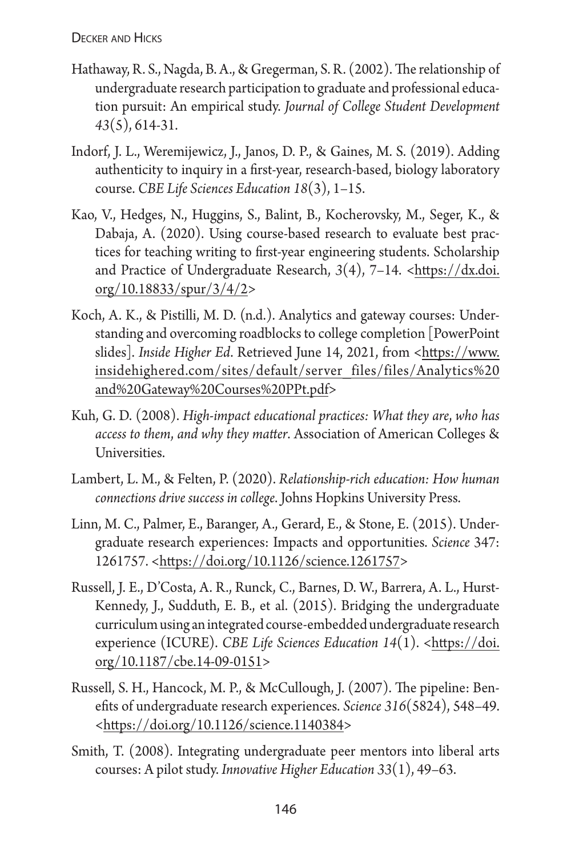- Hathaway, R. S., Nagda, B. A., & Gregerman, S. R. (2002). The relationship of undergraduate research participation to graduate and professional education pursuit: An empirical study. *Journal of College Student Development 43*(5), 614-31.
- Indorf, J. L., Weremijewicz, J., Janos, D. P., & Gaines, M. S. (2019). Adding authenticity to inquiry in a first-year, research-based, biology laboratory course. *CBE Life Sciences Education 18*(3), 1–15.
- Kao, V., Hedges, N., Huggins, S., Balint, B., Kocherovsky, M., Seger, K., & Dabaja, A. (2020). Using course-based research to evaluate best practices for teaching writing to first-year engineering students. Scholarship and Practice of Undergraduate Research, *3*(4), 7–14. <[https://dx.doi.](https://dx.doi.org/10.18833/spur/3/4/2) [org/10.18833/spur/3/4/2>](https://dx.doi.org/10.18833/spur/3/4/2)
- Koch, A. K., & Pistilli, M. D. (n.d.). Analytics and gateway courses: Understanding and overcoming roadblocks to college completion [PowerPoint slides]. *Inside Higher Ed*. Retrieved June 14, 2021, from [<https://www.](https://www.insidehighered.com/sites/default/server_files/files/Analytics%20and%20Gateway%20Courses%20PPt.pdf) [insidehighered.com/sites/default/server\\_files/files/Analytics%20](https://www.insidehighered.com/sites/default/server_files/files/Analytics%20and%20Gateway%20Courses%20PPt.pdf) [and%20Gateway%20Courses%20PPt.pdf>](https://www.insidehighered.com/sites/default/server_files/files/Analytics%20and%20Gateway%20Courses%20PPt.pdf)
- Kuh, G. D. (2008). *High-impact educational practices: What they are*, *who has access to them*, *and why they matter*. Association of American Colleges & Universities.
- Lambert, L. M., & Felten, P. (2020). *Relationship-rich education: How human connections drive success in college*. Johns Hopkins University Press.
- Linn, M. C., Palmer, E., Baranger, A., Gerard, E., & Stone, E. (2015). Undergraduate research experiences: Impacts and opportunities. *Science* 347: 1261757. <[https://doi.org/10.1126/science.1261757>](https://doi.org/10.1126/science.1261757)
- Russell, J. E., D'Costa, A. R., Runck, C., Barnes, D. W., Barrera, A. L., Hurst-Kennedy, J., Sudduth, E. B., et al. (2015). Bridging the undergraduate curriculum using an integrated course-embedded undergraduate research experience (ICURE). *CBE Life Sciences Education 14*(1). <https://doi. org/10.1187/cbe.14-09-0151>
- Russell, S. H., Hancock, M. P., & McCullough, J. (2007). The pipeline: Benefits of undergraduate research experiences. *Science 316*(5824), 548–49. <https://doi.org/10.1126/science.1140384>
- Smith, T. (2008). Integrating undergraduate peer mentors into liberal arts courses: A pilot study. *Innovative Higher Education 33*(1), 49–63.